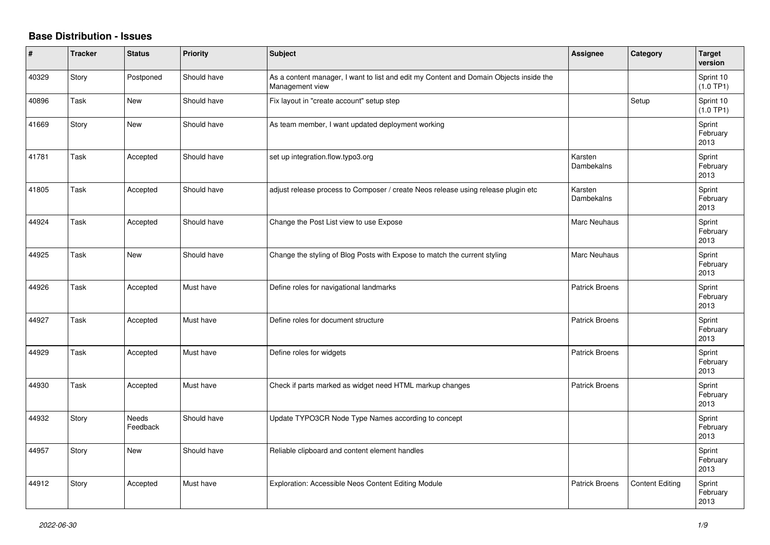## **Base Distribution - Issues**

| #     | <b>Tracker</b> | <b>Status</b>     | <b>Priority</b> | <b>Subject</b>                                                                                            | Assignee              | Category               | Target<br>version          |
|-------|----------------|-------------------|-----------------|-----------------------------------------------------------------------------------------------------------|-----------------------|------------------------|----------------------------|
| 40329 | Story          | Postponed         | Should have     | As a content manager, I want to list and edit my Content and Domain Objects inside the<br>Management view |                       |                        | Sprint 10<br>(1.0 TP1)     |
| 40896 | Task           | <b>New</b>        | Should have     | Fix layout in "create account" setup step                                                                 |                       | Setup                  | Sprint 10<br>(1.0 TP1)     |
| 41669 | Story          | New               | Should have     | As team member, I want updated deployment working                                                         |                       |                        | Sprint<br>February<br>2013 |
| 41781 | Task           | Accepted          | Should have     | set up integration.flow.typo3.org                                                                         | Karsten<br>Dambekalns |                        | Sprint<br>February<br>2013 |
| 41805 | Task           | Accepted          | Should have     | adjust release process to Composer / create Neos release using release plugin etc                         | Karsten<br>Dambekalns |                        | Sprint<br>February<br>2013 |
| 44924 | Task           | Accepted          | Should have     | Change the Post List view to use Expose                                                                   | Marc Neuhaus          |                        | Sprint<br>February<br>2013 |
| 44925 | Task           | <b>New</b>        | Should have     | Change the styling of Blog Posts with Expose to match the current styling                                 | Marc Neuhaus          |                        | Sprint<br>February<br>2013 |
| 44926 | Task           | Accepted          | Must have       | Define roles for navigational landmarks                                                                   | <b>Patrick Broens</b> |                        | Sprint<br>February<br>2013 |
| 44927 | Task           | Accepted          | Must have       | Define roles for document structure                                                                       | <b>Patrick Broens</b> |                        | Sprint<br>February<br>2013 |
| 44929 | Task           | Accepted          | Must have       | Define roles for widgets                                                                                  | <b>Patrick Broens</b> |                        | Sprint<br>February<br>2013 |
| 44930 | Task           | Accepted          | Must have       | Check if parts marked as widget need HTML markup changes                                                  | <b>Patrick Broens</b> |                        | Sprint<br>February<br>2013 |
| 44932 | Story          | Needs<br>Feedback | Should have     | Update TYPO3CR Node Type Names according to concept                                                       |                       |                        | Sprint<br>February<br>2013 |
| 44957 | Story          | New               | Should have     | Reliable clipboard and content element handles                                                            |                       |                        | Sprint<br>February<br>2013 |
| 44912 | Story          | Accepted          | Must have       | Exploration: Accessible Neos Content Editing Module                                                       | <b>Patrick Broens</b> | <b>Content Editing</b> | Sprint<br>February<br>2013 |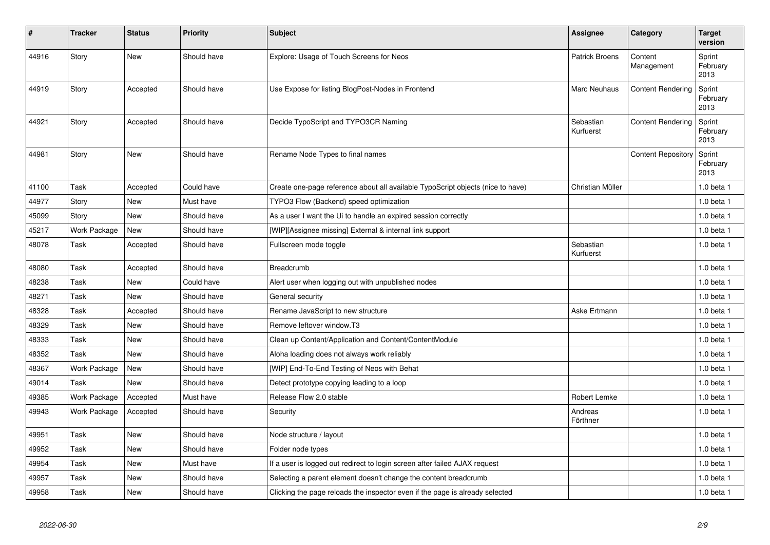| #     | <b>Tracker</b> | <b>Status</b> | <b>Priority</b> | <b>Subject</b>                                                                  | <b>Assignee</b>        | Category                  | <b>Target</b><br>version   |
|-------|----------------|---------------|-----------------|---------------------------------------------------------------------------------|------------------------|---------------------------|----------------------------|
| 44916 | Story          | <b>New</b>    | Should have     | Explore: Usage of Touch Screens for Neos                                        | <b>Patrick Broens</b>  | Content<br>Management     | Sprint<br>February<br>2013 |
| 44919 | Story          | Accepted      | Should have     | Use Expose for listing BlogPost-Nodes in Frontend                               | Marc Neuhaus           | <b>Content Rendering</b>  | Sprint<br>February<br>2013 |
| 44921 | Story          | Accepted      | Should have     | Decide TypoScript and TYPO3CR Naming                                            | Sebastian<br>Kurfuerst | <b>Content Rendering</b>  | Sprint<br>February<br>2013 |
| 44981 | Story          | <b>New</b>    | Should have     | Rename Node Types to final names                                                |                        | <b>Content Repository</b> | Sprint<br>February<br>2013 |
| 41100 | Task           | Accepted      | Could have      | Create one-page reference about all available TypoScript objects (nice to have) | Christian Müller       |                           | 1.0 beta 1                 |
| 44977 | Story          | <b>New</b>    | Must have       | TYPO3 Flow (Backend) speed optimization                                         |                        |                           | $1.0$ beta $1$             |
| 45099 | Story          | <b>New</b>    | Should have     | As a user I want the Ui to handle an expired session correctly                  |                        |                           | 1.0 beta 1                 |
| 45217 | Work Package   | New           | Should have     | [WIP][Assignee missing] External & internal link support                        |                        |                           | $1.0$ beta $1$             |
| 48078 | Task           | Accepted      | Should have     | Fullscreen mode toggle                                                          | Sebastian<br>Kurfuerst |                           | $1.0$ beta $1$             |
| 48080 | Task           | Accepted      | Should have     | Breadcrumb                                                                      |                        |                           | 1.0 beta 1                 |
| 48238 | Task           | <b>New</b>    | Could have      | Alert user when logging out with unpublished nodes                              |                        |                           | 1.0 beta 1                 |
| 48271 | Task           | <b>New</b>    | Should have     | General security                                                                |                        |                           | $1.0$ beta $1$             |
| 48328 | Task           | Accepted      | Should have     | Rename JavaScript to new structure                                              | Aske Ertmann           |                           | 1.0 beta 1                 |
| 48329 | Task           | <b>New</b>    | Should have     | Remove leftover window.T3                                                       |                        |                           | 1.0 beta 1                 |
| 48333 | Task           | <b>New</b>    | Should have     | Clean up Content/Application and Content/ContentModule                          |                        |                           | 1.0 beta 1                 |
| 48352 | Task           | <b>New</b>    | Should have     | Aloha loading does not always work reliably                                     |                        |                           | 1.0 beta 1                 |
| 48367 | Work Package   | New           | Should have     | [WIP] End-To-End Testing of Neos with Behat                                     |                        |                           | 1.0 beta 1                 |
| 49014 | Task           | New           | Should have     | Detect prototype copying leading to a loop                                      |                        |                           | 1.0 beta 1                 |
| 49385 | Work Package   | Accepted      | Must have       | Release Flow 2.0 stable                                                         | Robert Lemke           |                           | 1.0 beta 1                 |
| 49943 | Work Package   | Accepted      | Should have     | Security                                                                        | Andreas<br>Förthner    |                           | 1.0 beta 1                 |
| 49951 | Task           | <b>New</b>    | Should have     | Node structure / layout                                                         |                        |                           | 1.0 beta 1                 |
| 49952 | Task           | New           | Should have     | Folder node types                                                               |                        |                           | 1.0 beta 1                 |
| 49954 | Task           | New           | Must have       | If a user is logged out redirect to login screen after failed AJAX request      |                        |                           | 1.0 beta 1                 |
| 49957 | Task           | <b>New</b>    | Should have     | Selecting a parent element doesn't change the content breadcrumb                |                        |                           | 1.0 beta 1                 |
| 49958 | Task           | New           | Should have     | Clicking the page reloads the inspector even if the page is already selected    |                        |                           | 1.0 beta 1                 |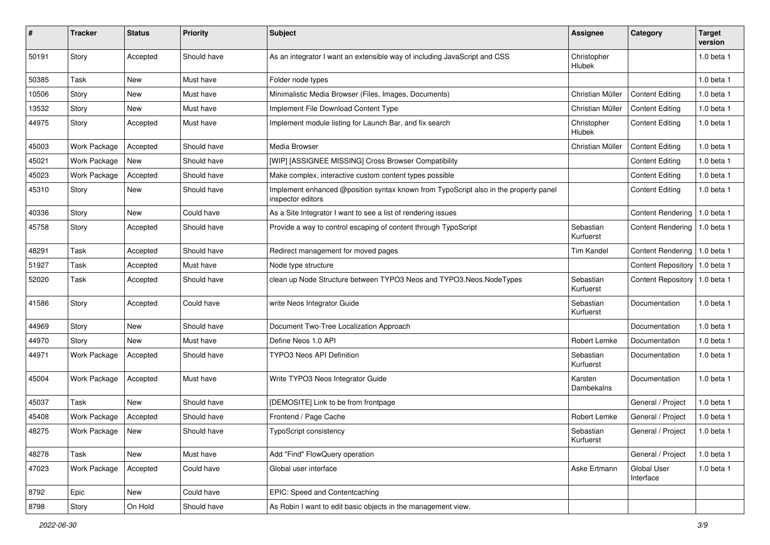| #     | <b>Tracker</b> | <b>Status</b> | <b>Priority</b> | <b>Subject</b>                                                                                            | Assignee               | Category                 | <b>Target</b><br>version |
|-------|----------------|---------------|-----------------|-----------------------------------------------------------------------------------------------------------|------------------------|--------------------------|--------------------------|
| 50191 | Story          | Accepted      | Should have     | As an integrator I want an extensible way of including JavaScript and CSS                                 | Christopher<br>Hlubek  |                          | 1.0 beta 1               |
| 50385 | Task           | New           | Must have       | Folder node types                                                                                         |                        |                          | 1.0 beta 1               |
| 10506 | Story          | New           | Must have       | Minimalistic Media Browser (Files, Images, Documents)                                                     | Christian Müller       | <b>Content Editing</b>   | 1.0 beta 1               |
| 13532 | Story          | New           | Must have       | Implement File Download Content Type                                                                      | Christian Müller       | <b>Content Editing</b>   | 1.0 beta 1               |
| 44975 | Story          | Accepted      | Must have       | Implement module listing for Launch Bar, and fix search                                                   | Christopher<br>Hlubek  | <b>Content Editing</b>   | 1.0 beta 1               |
| 45003 | Work Package   | Accepted      | Should have     | Media Browser                                                                                             | Christian Müller       | <b>Content Editing</b>   | 1.0 beta 1               |
| 45021 | Work Package   | <b>New</b>    | Should have     | [WIP] [ASSIGNEE MISSING] Cross Browser Compatibility                                                      |                        | <b>Content Editing</b>   | 1.0 beta 1               |
| 45023 | Work Package   | Accepted      | Should have     | Make complex, interactive custom content types possible                                                   |                        | <b>Content Editing</b>   | 1.0 beta 1               |
| 45310 | Story          | New           | Should have     | Implement enhanced @position syntax known from TypoScript also in the property panel<br>inspector editors |                        | <b>Content Editing</b>   | 1.0 beta 1               |
| 40336 | Story          | New           | Could have      | As a Site Integrator I want to see a list of rendering issues                                             |                        | <b>Content Rendering</b> | 1.0 beta 1               |
| 45758 | Story          | Accepted      | Should have     | Provide a way to control escaping of content through TypoScript                                           | Sebastian<br>Kurfuerst | <b>Content Rendering</b> | 1.0 beta 1               |
| 48291 | Task           | Accepted      | Should have     | Redirect management for moved pages                                                                       | <b>Tim Kandel</b>      | Content Rendering        | 1.0 beta 1               |
| 51927 | Task           | Accepted      | Must have       | Node type structure                                                                                       |                        | Content Repository       | 1.0 beta 1               |
| 52020 | Task           | Accepted      | Should have     | clean up Node Structure between TYPO3 Neos and TYPO3. Neos. Node Types                                    | Sebastian<br>Kurfuerst | Content Repository       | 1.0 beta 1               |
| 41586 | Story          | Accepted      | Could have      | write Neos Integrator Guide                                                                               | Sebastian<br>Kurfuerst | Documentation            | 1.0 beta 1               |
| 44969 | Story          | <b>New</b>    | Should have     | Document Two-Tree Localization Approach                                                                   |                        | Documentation            | 1.0 beta 1               |
| 44970 | Story          | New           | Must have       | Define Neos 1.0 API                                                                                       | Robert Lemke           | Documentation            | 1.0 beta 1               |
| 44971 | Work Package   | Accepted      | Should have     | <b>TYPO3 Neos API Definition</b>                                                                          | Sebastian<br>Kurfuerst | Documentation            | 1.0 beta 1               |
| 45004 | Work Package   | Accepted      | Must have       | Write TYPO3 Neos Integrator Guide                                                                         | Karsten<br>Dambekalns  | Documentation            | 1.0 beta 1               |
| 45037 | Task           | <b>New</b>    | Should have     | [DEMOSITE] Link to be from frontpage                                                                      |                        | General / Project        | 1.0 beta 1               |
| 45408 | Work Package   | Accepted      | Should have     | Frontend / Page Cache                                                                                     | Robert Lemke           | General / Project        | 1.0 beta 1               |
| 48275 | Work Package   | New           | Should have     | <b>TypoScript consistency</b>                                                                             | Sebastian<br>Kurfuerst | General / Project        | 1.0 beta 1               |
| 48278 | Task           | New           | Must have       | Add "Find" FlowQuery operation                                                                            |                        | General / Project        | 1.0 beta 1               |
| 47023 | Work Package   | Accepted      | Could have      | Global user interface                                                                                     | Aske Ertmann           | Global User<br>Interface | 1.0 beta 1               |
| 8792  | Epic           | New           | Could have      | EPIC: Speed and Contentcaching                                                                            |                        |                          |                          |
| 8798  | Story          | On Hold       | Should have     | As Robin I want to edit basic objects in the management view.                                             |                        |                          |                          |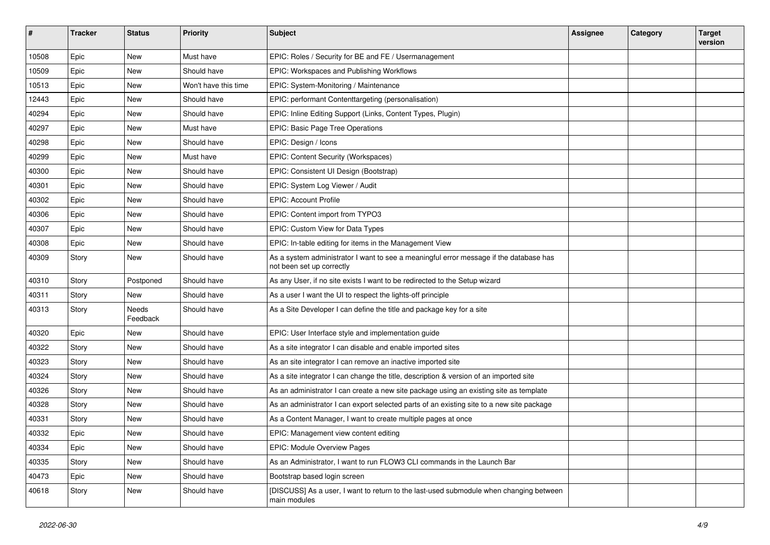| #     | <b>Tracker</b> | <b>Status</b>            | <b>Priority</b>      | Subject                                                                                                             | <b>Assignee</b> | Category | <b>Target</b><br>version |
|-------|----------------|--------------------------|----------------------|---------------------------------------------------------------------------------------------------------------------|-----------------|----------|--------------------------|
| 10508 | Epic           | <b>New</b>               | Must have            | EPIC: Roles / Security for BE and FE / Usermanagement                                                               |                 |          |                          |
| 10509 | Epic           | New                      | Should have          | EPIC: Workspaces and Publishing Workflows                                                                           |                 |          |                          |
| 10513 | Epic           | New                      | Won't have this time | EPIC: System-Monitoring / Maintenance                                                                               |                 |          |                          |
| 12443 | Epic           | New                      | Should have          | EPIC: performant Contenttargeting (personalisation)                                                                 |                 |          |                          |
| 40294 | Epic           | New                      | Should have          | EPIC: Inline Editing Support (Links, Content Types, Plugin)                                                         |                 |          |                          |
| 40297 | Epic           | New                      | Must have            | EPIC: Basic Page Tree Operations                                                                                    |                 |          |                          |
| 40298 | Epic           | New                      | Should have          | EPIC: Design / Icons                                                                                                |                 |          |                          |
| 40299 | Epic           | New                      | Must have            | EPIC: Content Security (Workspaces)                                                                                 |                 |          |                          |
| 40300 | Epic           | New                      | Should have          | EPIC: Consistent UI Design (Bootstrap)                                                                              |                 |          |                          |
| 40301 | Epic           | New                      | Should have          | EPIC: System Log Viewer / Audit                                                                                     |                 |          |                          |
| 40302 | Epic           | New                      | Should have          | <b>EPIC: Account Profile</b>                                                                                        |                 |          |                          |
| 40306 | Epic           | New                      | Should have          | EPIC: Content import from TYPO3                                                                                     |                 |          |                          |
| 40307 | Epic           | New                      | Should have          | EPIC: Custom View for Data Types                                                                                    |                 |          |                          |
| 40308 | Epic           | New                      | Should have          | EPIC: In-table editing for items in the Management View                                                             |                 |          |                          |
| 40309 | Story          | New                      | Should have          | As a system administrator I want to see a meaningful error message if the database has<br>not been set up correctly |                 |          |                          |
| 40310 | Story          | Postponed                | Should have          | As any User, if no site exists I want to be redirected to the Setup wizard                                          |                 |          |                          |
| 40311 | Story          | New                      | Should have          | As a user I want the UI to respect the lights-off principle                                                         |                 |          |                          |
| 40313 | Story          | <b>Needs</b><br>Feedback | Should have          | As a Site Developer I can define the title and package key for a site                                               |                 |          |                          |
| 40320 | Epic           | New                      | Should have          | EPIC: User Interface style and implementation guide                                                                 |                 |          |                          |
| 40322 | Story          | New                      | Should have          | As a site integrator I can disable and enable imported sites                                                        |                 |          |                          |
| 40323 | Story          | New                      | Should have          | As an site integrator I can remove an inactive imported site                                                        |                 |          |                          |
| 40324 | Story          | New                      | Should have          | As a site integrator I can change the title, description & version of an imported site                              |                 |          |                          |
| 40326 | Story          | New                      | Should have          | As an administrator I can create a new site package using an existing site as template                              |                 |          |                          |
| 40328 | Story          | <b>New</b>               | Should have          | As an administrator I can export selected parts of an existing site to a new site package                           |                 |          |                          |
| 40331 | Story          | New                      | Should have          | As a Content Manager, I want to create multiple pages at once                                                       |                 |          |                          |
| 40332 | Epic           | New                      | Should have          | EPIC: Management view content editing                                                                               |                 |          |                          |
| 40334 | Epic           | New                      | Should have          | <b>EPIC: Module Overview Pages</b>                                                                                  |                 |          |                          |
| 40335 | Story          | New                      | Should have          | As an Administrator, I want to run FLOW3 CLI commands in the Launch Bar                                             |                 |          |                          |
| 40473 | Epic           | New                      | Should have          | Bootstrap based login screen                                                                                        |                 |          |                          |
| 40618 | Story          | New                      | Should have          | [DISCUSS] As a user, I want to return to the last-used submodule when changing between<br>main modules              |                 |          |                          |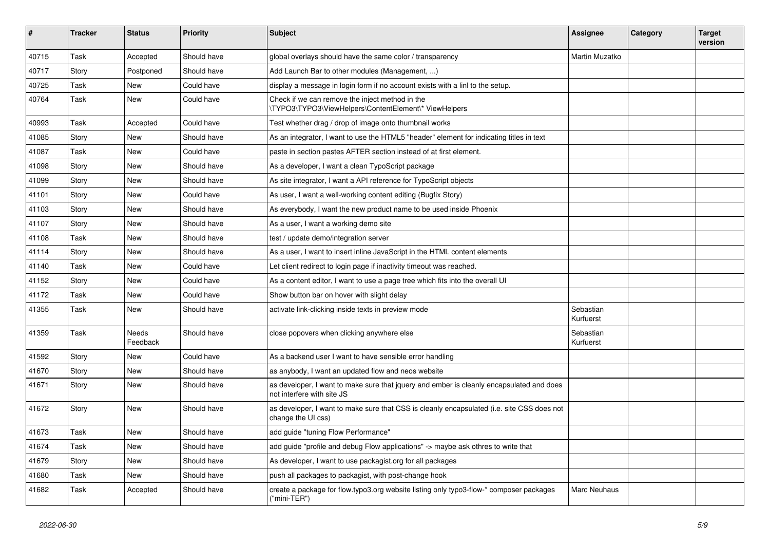| #     | <b>Tracker</b> | <b>Status</b>     | <b>Priority</b> | <b>Subject</b>                                                                                                         | <b>Assignee</b>        | Category | <b>Target</b><br>version |
|-------|----------------|-------------------|-----------------|------------------------------------------------------------------------------------------------------------------------|------------------------|----------|--------------------------|
| 40715 | Task           | Accepted          | Should have     | global overlays should have the same color / transparency                                                              | Martin Muzatko         |          |                          |
| 40717 | Story          | Postponed         | Should have     | Add Launch Bar to other modules (Management, )                                                                         |                        |          |                          |
| 40725 | Task           | <b>New</b>        | Could have      | display a message in login form if no account exists with a linl to the setup.                                         |                        |          |                          |
| 40764 | Task           | New               | Could have      | Check if we can remove the inject method in the<br>\TYPO3\TYPO3\ViewHelpers\ContentElement\* ViewHelpers               |                        |          |                          |
| 40993 | Task           | Accepted          | Could have      | Test whether drag / drop of image onto thumbnail works                                                                 |                        |          |                          |
| 41085 | Story          | New               | Should have     | As an integrator, I want to use the HTML5 "header" element for indicating titles in text                               |                        |          |                          |
| 41087 | Task           | New               | Could have      | paste in section pastes AFTER section instead of at first element.                                                     |                        |          |                          |
| 41098 | Story          | New               | Should have     | As a developer, I want a clean TypoScript package                                                                      |                        |          |                          |
| 41099 | Story          | New               | Should have     | As site integrator, I want a API reference for TypoScript objects                                                      |                        |          |                          |
| 41101 | Story          | <b>New</b>        | Could have      | As user, I want a well-working content editing (Bugfix Story)                                                          |                        |          |                          |
| 41103 | Story          | New               | Should have     | As everybody, I want the new product name to be used inside Phoenix                                                    |                        |          |                          |
| 41107 | Story          | <b>New</b>        | Should have     | As a user, I want a working demo site                                                                                  |                        |          |                          |
| 41108 | Task           | <b>New</b>        | Should have     | test / update demo/integration server                                                                                  |                        |          |                          |
| 41114 | Story          | New               | Should have     | As a user, I want to insert inline JavaScript in the HTML content elements                                             |                        |          |                          |
| 41140 | Task           | <b>New</b>        | Could have      | Let client redirect to login page if inactivity timeout was reached.                                                   |                        |          |                          |
| 41152 | Story          | New               | Could have      | As a content editor, I want to use a page tree which fits into the overall UI                                          |                        |          |                          |
| 41172 | Task           | <b>New</b>        | Could have      | Show button bar on hover with slight delay                                                                             |                        |          |                          |
| 41355 | Task           | New               | Should have     | activate link-clicking inside texts in preview mode                                                                    | Sebastian<br>Kurfuerst |          |                          |
| 41359 | Task           | Needs<br>Feedback | Should have     | close popovers when clicking anywhere else                                                                             | Sebastian<br>Kurfuerst |          |                          |
| 41592 | Story          | New               | Could have      | As a backend user I want to have sensible error handling                                                               |                        |          |                          |
| 41670 | Story          | <b>New</b>        | Should have     | as anybody, I want an updated flow and neos website                                                                    |                        |          |                          |
| 41671 | Story          | New               | Should have     | as developer, I want to make sure that jquery and ember is cleanly encapsulated and does<br>not interfere with site JS |                        |          |                          |
| 41672 | Story          | <b>New</b>        | Should have     | as developer, I want to make sure that CSS is cleanly encapsulated (i.e. site CSS does not<br>change the UI css)       |                        |          |                          |
| 41673 | Task           | New               | Should have     | add guide "tuning Flow Performance"                                                                                    |                        |          |                          |
| 41674 | Task           | New               | Should have     | add guide "profile and debug Flow applications" -> maybe ask othres to write that                                      |                        |          |                          |
| 41679 | Story          | New               | Should have     | As developer, I want to use packagist.org for all packages                                                             |                        |          |                          |
| 41680 | Task           | New               | Should have     | push all packages to packagist, with post-change hook                                                                  |                        |          |                          |
| 41682 | Task           | Accepted          | Should have     | create a package for flow typo3 org website listing only typo3-flow-* composer packages<br>("mini-TER")                | Marc Neuhaus           |          |                          |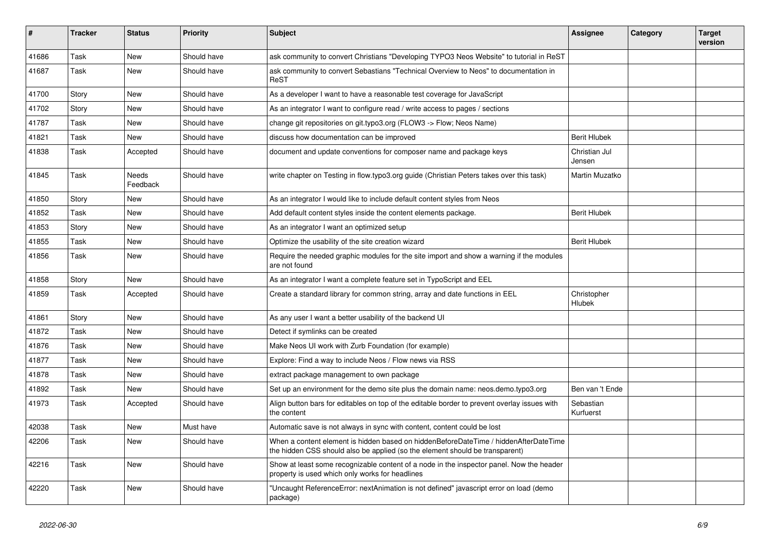| $\vert$ # | <b>Tracker</b> | <b>Status</b>     | <b>Priority</b> | <b>Subject</b>                                                                                                                                                       | Assignee                | Category | <b>Target</b><br>version |
|-----------|----------------|-------------------|-----------------|----------------------------------------------------------------------------------------------------------------------------------------------------------------------|-------------------------|----------|--------------------------|
| 41686     | Task           | <b>New</b>        | Should have     | ask community to convert Christians "Developing TYPO3 Neos Website" to tutorial in ReST                                                                              |                         |          |                          |
| 41687     | Task           | <b>New</b>        | Should have     | ask community to convert Sebastians "Technical Overview to Neos" to documentation in<br>ReST                                                                         |                         |          |                          |
| 41700     | Story          | <b>New</b>        | Should have     | As a developer I want to have a reasonable test coverage for JavaScript                                                                                              |                         |          |                          |
| 41702     | Story          | <b>New</b>        | Should have     | As an integrator I want to configure read / write access to pages / sections                                                                                         |                         |          |                          |
| 41787     | Task           | New               | Should have     | change git repositories on git typo3.org (FLOW3 -> Flow; Neos Name)                                                                                                  |                         |          |                          |
| 41821     | Task           | New               | Should have     | discuss how documentation can be improved                                                                                                                            | <b>Berit Hlubek</b>     |          |                          |
| 41838     | Task           | Accepted          | Should have     | document and update conventions for composer name and package keys                                                                                                   | Christian Jul<br>Jensen |          |                          |
| 41845     | Task           | Needs<br>Feedback | Should have     | write chapter on Testing in flow.typo3.org guide (Christian Peters takes over this task)                                                                             | Martin Muzatko          |          |                          |
| 41850     | Story          | New               | Should have     | As an integrator I would like to include default content styles from Neos                                                                                            |                         |          |                          |
| 41852     | Task           | <b>New</b>        | Should have     | Add default content styles inside the content elements package.                                                                                                      | <b>Berit Hlubek</b>     |          |                          |
| 41853     | Story          | <b>New</b>        | Should have     | As an integrator I want an optimized setup                                                                                                                           |                         |          |                          |
| 41855     | Task           | <b>New</b>        | Should have     | Optimize the usability of the site creation wizard                                                                                                                   | <b>Berit Hlubek</b>     |          |                          |
| 41856     | Task           | <b>New</b>        | Should have     | Require the needed graphic modules for the site import and show a warning if the modules<br>are not found                                                            |                         |          |                          |
| 41858     | Story          | New               | Should have     | As an integrator I want a complete feature set in TypoScript and EEL                                                                                                 |                         |          |                          |
| 41859     | Task           | Accepted          | Should have     | Create a standard library for common string, array and date functions in EEL                                                                                         | Christopher<br>Hlubek   |          |                          |
| 41861     | Story          | <b>New</b>        | Should have     | As any user I want a better usability of the backend UI                                                                                                              |                         |          |                          |
| 41872     | Task           | <b>New</b>        | Should have     | Detect if symlinks can be created                                                                                                                                    |                         |          |                          |
| 41876     | Task           | <b>New</b>        | Should have     | Make Neos UI work with Zurb Foundation (for example)                                                                                                                 |                         |          |                          |
| 41877     | Task           | <b>New</b>        | Should have     | Explore: Find a way to include Neos / Flow news via RSS                                                                                                              |                         |          |                          |
| 41878     | Task           | <b>New</b>        | Should have     | extract package management to own package                                                                                                                            |                         |          |                          |
| 41892     | Task           | <b>New</b>        | Should have     | Set up an environment for the demo site plus the domain name: neos.demo.typo3.org                                                                                    | Ben van 't Ende         |          |                          |
| 41973     | Task           | Accepted          | Should have     | Align button bars for editables on top of the editable border to prevent overlay issues with<br>the content                                                          | Sebastian<br>Kurfuerst  |          |                          |
| 42038     | Task           | <b>New</b>        | Must have       | Automatic save is not always in sync with content, content could be lost                                                                                             |                         |          |                          |
| 42206     | Task           | <b>New</b>        | Should have     | When a content element is hidden based on hiddenBeforeDateTime / hiddenAfterDateTime<br>the hidden CSS should also be applied (so the element should be transparent) |                         |          |                          |
| 42216     | Task           | New               | Should have     | Show at least some recognizable content of a node in the inspector panel. Now the header<br>property is used which only works for headlines                          |                         |          |                          |
| 42220     | Task           | <b>New</b>        | Should have     | "Uncaught ReferenceError: nextAnimation is not defined" javascript error on load (demo<br>package)                                                                   |                         |          |                          |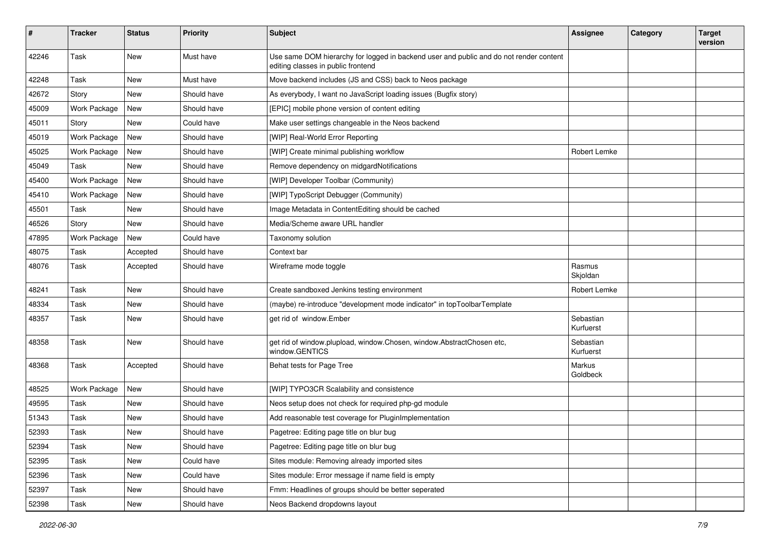| $\sharp$ | <b>Tracker</b>      | <b>Status</b> | <b>Priority</b> | <b>Subject</b>                                                                                                               | <b>Assignee</b>        | Category | <b>Target</b><br>version |
|----------|---------------------|---------------|-----------------|------------------------------------------------------------------------------------------------------------------------------|------------------------|----------|--------------------------|
| 42246    | Task                | New           | Must have       | Use same DOM hierarchy for logged in backend user and public and do not render content<br>editing classes in public frontend |                        |          |                          |
| 42248    | Task                | <b>New</b>    | Must have       | Move backend includes (JS and CSS) back to Neos package                                                                      |                        |          |                          |
| 42672    | Story               | <b>New</b>    | Should have     | As everybody, I want no JavaScript loading issues (Bugfix story)                                                             |                        |          |                          |
| 45009    | Work Package        | New           | Should have     | [EPIC] mobile phone version of content editing                                                                               |                        |          |                          |
| 45011    | Story               | New           | Could have      | Make user settings changeable in the Neos backend                                                                            |                        |          |                          |
| 45019    | <b>Work Package</b> | New           | Should have     | [WIP] Real-World Error Reporting                                                                                             |                        |          |                          |
| 45025    | Work Package        | New           | Should have     | [WIP] Create minimal publishing workflow                                                                                     | Robert Lemke           |          |                          |
| 45049    | Task                | New           | Should have     | Remove dependency on midgardNotifications                                                                                    |                        |          |                          |
| 45400    | Work Package        | New           | Should have     | [WIP] Developer Toolbar (Community)                                                                                          |                        |          |                          |
| 45410    | Work Package        | <b>New</b>    | Should have     | [WIP] TypoScript Debugger (Community)                                                                                        |                        |          |                          |
| 45501    | Task                | New           | Should have     | Image Metadata in ContentEditing should be cached                                                                            |                        |          |                          |
| 46526    | Story               | <b>New</b>    | Should have     | Media/Scheme aware URL handler                                                                                               |                        |          |                          |
| 47895    | Work Package        | New           | Could have      | Taxonomy solution                                                                                                            |                        |          |                          |
| 48075    | Task                | Accepted      | Should have     | Context bar                                                                                                                  |                        |          |                          |
| 48076    | Task                | Accepted      | Should have     | Wireframe mode toggle                                                                                                        | Rasmus<br>Skjoldan     |          |                          |
| 48241    | Task                | <b>New</b>    | Should have     | Create sandboxed Jenkins testing environment                                                                                 | Robert Lemke           |          |                          |
| 48334    | Task                | <b>New</b>    | Should have     | (maybe) re-introduce "development mode indicator" in topToolbarTemplate                                                      |                        |          |                          |
| 48357    | Task                | New           | Should have     | get rid of window.Ember                                                                                                      | Sebastian<br>Kurfuerst |          |                          |
| 48358    | Task                | <b>New</b>    | Should have     | get rid of window.plupload, window.Chosen, window.AbstractChosen etc,<br>window.GENTICS                                      | Sebastian<br>Kurfuerst |          |                          |
| 48368    | Task                | Accepted      | Should have     | Behat tests for Page Tree                                                                                                    | Markus<br>Goldbeck     |          |                          |
| 48525    | Work Package        | New           | Should have     | [WIP] TYPO3CR Scalability and consistence                                                                                    |                        |          |                          |
| 49595    | Task                | <b>New</b>    | Should have     | Neos setup does not check for required php-gd module                                                                         |                        |          |                          |
| 51343    | Task                | New           | Should have     | Add reasonable test coverage for PluginImplementation                                                                        |                        |          |                          |
| 52393    | Task                | <b>New</b>    | Should have     | Pagetree: Editing page title on blur bug                                                                                     |                        |          |                          |
| 52394    | Task                | New           | Should have     | Pagetree: Editing page title on blur bug                                                                                     |                        |          |                          |
| 52395    | Task                | New           | Could have      | Sites module: Removing already imported sites                                                                                |                        |          |                          |
| 52396    | Task                | New           | Could have      | Sites module: Error message if name field is empty                                                                           |                        |          |                          |
| 52397    | Task                | New           | Should have     | Fmm: Headlines of groups should be better seperated                                                                          |                        |          |                          |
| 52398    | Task                | New           | Should have     | Neos Backend dropdowns layout                                                                                                |                        |          |                          |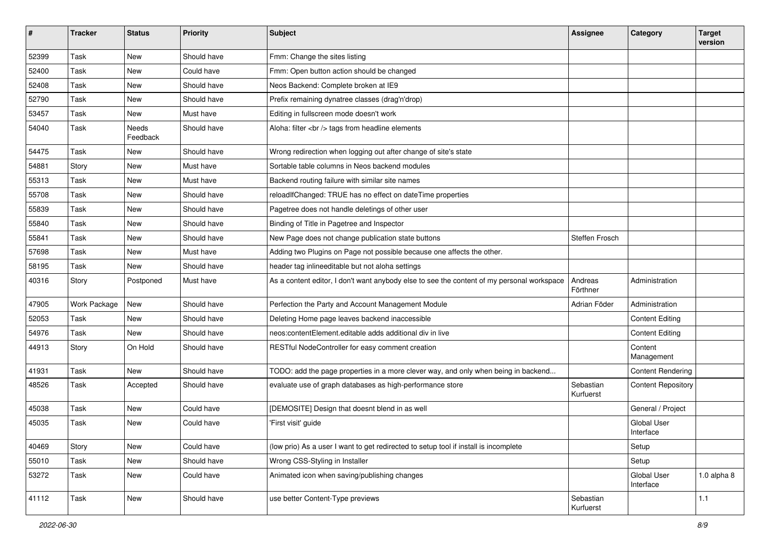| $\vert$ # | <b>Tracker</b> | <b>Status</b>     | <b>Priority</b> | Subject                                                                                    | <b>Assignee</b>        | Category                        | <b>Target</b><br>version |
|-----------|----------------|-------------------|-----------------|--------------------------------------------------------------------------------------------|------------------------|---------------------------------|--------------------------|
| 52399     | Task           | <b>New</b>        | Should have     | Fmm: Change the sites listing                                                              |                        |                                 |                          |
| 52400     | Task           | New               | Could have      | Fmm: Open button action should be changed                                                  |                        |                                 |                          |
| 52408     | Task           | New               | Should have     | Neos Backend: Complete broken at IE9                                                       |                        |                                 |                          |
| 52790     | Task           | New               | Should have     | Prefix remaining dynatree classes (drag'n'drop)                                            |                        |                                 |                          |
| 53457     | Task           | <b>New</b>        | Must have       | Editing in fullscreen mode doesn't work                                                    |                        |                                 |                          |
| 54040     | Task           | Needs<br>Feedback | Should have     | Aloha: filter<br>tags from headline elements                                               |                        |                                 |                          |
| 54475     | Task           | New               | Should have     | Wrong redirection when logging out after change of site's state                            |                        |                                 |                          |
| 54881     | Story          | <b>New</b>        | Must have       | Sortable table columns in Neos backend modules                                             |                        |                                 |                          |
| 55313     | Task           | <b>New</b>        | Must have       | Backend routing failure with similar site names                                            |                        |                                 |                          |
| 55708     | Task           | <b>New</b>        | Should have     | reloadIfChanged: TRUE has no effect on dateTime properties                                 |                        |                                 |                          |
| 55839     | Task           | <b>New</b>        | Should have     | Pagetree does not handle deletings of other user                                           |                        |                                 |                          |
| 55840     | Task           | <b>New</b>        | Should have     | Binding of Title in Pagetree and Inspector                                                 |                        |                                 |                          |
| 55841     | Task           | <b>New</b>        | Should have     | New Page does not change publication state buttons                                         | <b>Steffen Frosch</b>  |                                 |                          |
| 57698     | Task           | New               | Must have       | Adding two Plugins on Page not possible because one affects the other.                     |                        |                                 |                          |
| 58195     | Task           | New               | Should have     | header tag inlineeditable but not aloha settings                                           |                        |                                 |                          |
| 40316     | Story          | Postponed         | Must have       | As a content editor, I don't want anybody else to see the content of my personal workspace | Andreas<br>Förthner    | Administration                  |                          |
| 47905     | Work Package   | New               | Should have     | Perfection the Party and Account Management Module                                         | Adrian Föder           | Administration                  |                          |
| 52053     | Task           | New               | Should have     | Deleting Home page leaves backend inaccessible                                             |                        | <b>Content Editing</b>          |                          |
| 54976     | Task           | New               | Should have     | neos:contentElement.editable adds additional div in live                                   |                        | <b>Content Editing</b>          |                          |
| 44913     | Story          | On Hold           | Should have     | RESTful NodeController for easy comment creation                                           |                        | Content<br>Management           |                          |
| 41931     | Task           | <b>New</b>        | Should have     | TODO: add the page properties in a more clever way, and only when being in backend         |                        | <b>Content Rendering</b>        |                          |
| 48526     | Task           | Accepted          | Should have     | evaluate use of graph databases as high-performance store                                  | Sebastian<br>Kurfuerst | <b>Content Repository</b>       |                          |
| 45038     | Task           | New               | Could have      | [DEMOSITE] Design that doesnt blend in as well                                             |                        | General / Project               |                          |
| 45035     | Task           | New               | Could have      | 'First visit' guide                                                                        |                        | <b>Global User</b><br>Interface |                          |
| 40469     | Story          | New               | Could have      | (low prio) As a user I want to get redirected to setup tool if install is incomplete       |                        | Setup                           |                          |
| 55010     | Task           | New               | Should have     | Wrong CSS-Styling in Installer                                                             |                        | Setup                           |                          |
| 53272     | Task           | New               | Could have      | Animated icon when saving/publishing changes                                               |                        | Global User<br>Interface        | $1.0$ alpha $8$          |
| 41112     | Task           | New               | Should have     | use better Content-Type previews                                                           | Sebastian<br>Kurfuerst |                                 | $1.1$                    |